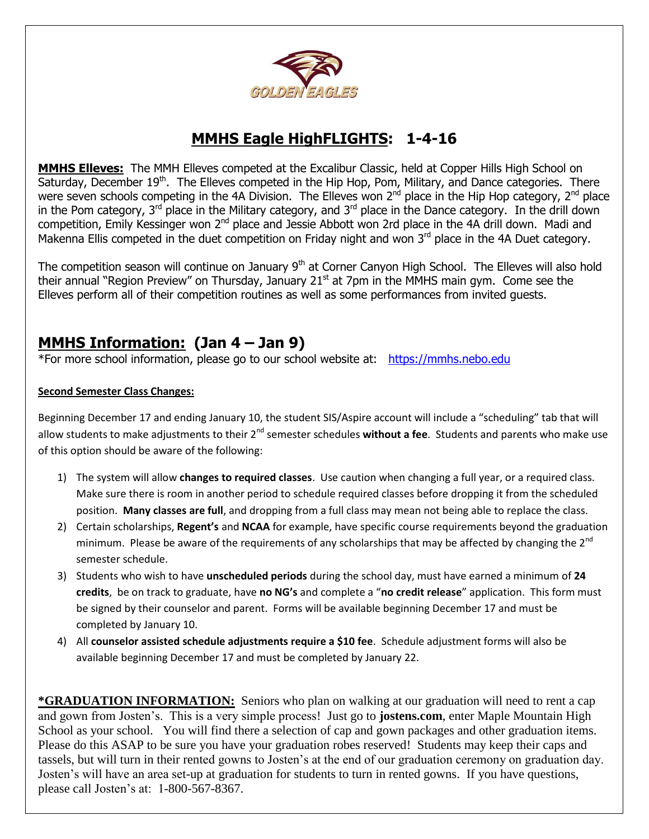

## **MMHS Eagle HighFLIGHTS: 1-4-16**

**MMHS Elleves:** The MMH Elleves competed at the Excalibur Classic, held at Copper Hills High School on Saturday, December 19<sup>th</sup>. The Elleves competed in the Hip Hop, Pom, Military, and Dance categories. There were seven schools competing in the 4A Division. The Elleves won 2<sup>nd</sup> place in the Hip Hop category, 2<sup>nd</sup> place in the Pom category,  $3^{rd}$  place in the Military category, and  $3^{rd}$  place in the Dance category. In the drill down competition, Emily Kessinger won 2<sup>nd</sup> place and Jessie Abbott won 2rd place in the 4A drill down. Madi and Makenna Ellis competed in the duet competition on Friday night and won 3<sup>rd</sup> place in the 4A Duet category.

The competition season will continue on January 9<sup>th</sup> at Corner Canyon High School. The Elleves will also hold their annual "Region Preview" on Thursday, January 21 $<sup>st</sup>$  at 7pm in the MMHS main gym. Come see the</sup> Elleves perform all of their competition routines as well as some performances from invited guests.

## **MMHS Information: (Jan 4 – Jan 9)**

\*For more school information, please go to our school website at: [https://mmhs.nebo.edu](https://mmhs.nebo.edu/)

#### **Second Semester Class Changes:**

Beginning December 17 and ending January 10, the student SIS/Aspire account will include a "scheduling" tab that will allow students to make adjustments to their 2<sup>nd</sup> semester schedules **without a fee**. Students and parents who make use of this option should be aware of the following:

- 1) The system will allow **changes to required classes**. Use caution when changing a full year, or a required class. Make sure there is room in another period to schedule required classes before dropping it from the scheduled position. **Many classes are full**, and dropping from a full class may mean not being able to replace the class.
- 2) Certain scholarships, **Regent's** and **NCAA** for example, have specific course requirements beyond the graduation minimum. Please be aware of the requirements of any scholarships that may be affected by changing the  $2^{nd}$ semester schedule.
- 3) Students who wish to have **unscheduled periods** during the school day, must have earned a minimum of **24 credits**, be on track to graduate, have **no NG's** and complete a "**no credit release**" application. This form must be signed by their counselor and parent. Forms will be available beginning December 17 and must be completed by January 10.
- 4) All **counselor assisted schedule adjustments require a \$10 fee**. Schedule adjustment forms will also be available beginning December 17 and must be completed by January 22.

**\*GRADUATION INFORMATION:** Seniors who plan on walking at our graduation will need to rent a cap and gown from Josten's. This is a very simple process! Just go to **jostens.com**, enter Maple Mountain High School as your school. You will find there a selection of cap and gown packages and other graduation items. Please do this ASAP to be sure you have your graduation robes reserved! Students may keep their caps and tassels, but will turn in their rented gowns to Josten's at the end of our graduation ceremony on graduation day. Josten's will have an area set-up at graduation for students to turn in rented gowns. If you have questions, please call Josten's at: 1-800-567-8367.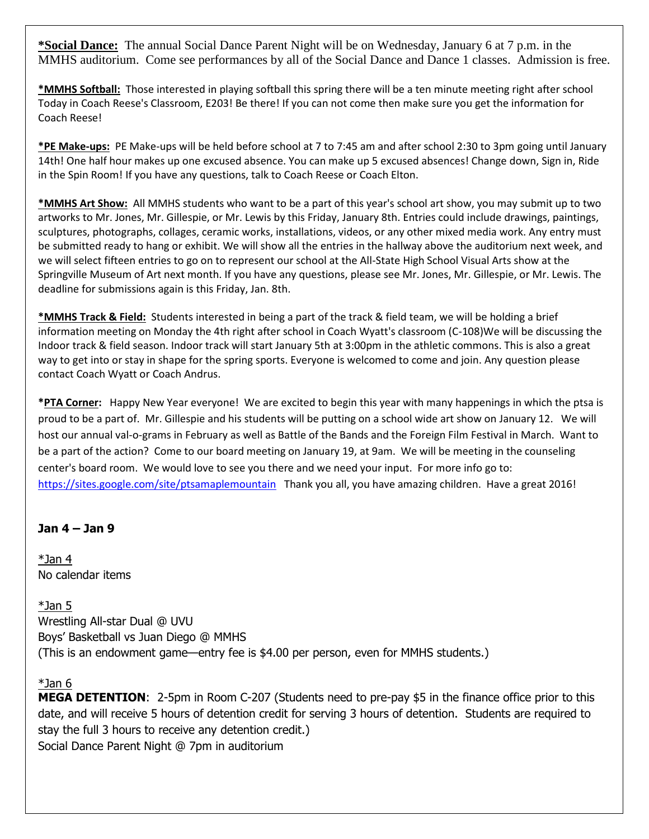**\*Social Dance:** The annual Social Dance Parent Night will be on Wednesday, January 6 at 7 p.m. in the MMHS auditorium. Come see performances by all of the Social Dance and Dance 1 classes. Admission is free.

**\*MMHS Softball:** Those interested in playing softball this spring there will be a ten minute meeting right after school Today in Coach Reese's Classroom, E203! Be there! If you can not come then make sure you get the information for Coach Reese!

**\*PE Make-ups:** PE Make-ups will be held before school at 7 to 7:45 am and after school 2:30 to 3pm going until January 14th! One half hour makes up one excused absence. You can make up 5 excused absences! Change down, Sign in, Ride in the Spin Room! If you have any questions, talk to Coach Reese or Coach Elton.

**\*MMHS Art Show:** All MMHS students who want to be a part of this year's school art show, you may submit up to two artworks to Mr. Jones, Mr. Gillespie, or Mr. Lewis by this Friday, January 8th. Entries could include drawings, paintings, sculptures, photographs, collages, ceramic works, installations, videos, or any other mixed media work. Any entry must be submitted ready to hang or exhibit. We will show all the entries in the hallway above the auditorium next week, and we will select fifteen entries to go on to represent our school at the All-State High School Visual Arts show at the Springville Museum of Art next month. If you have any questions, please see Mr. Jones, Mr. Gillespie, or Mr. Lewis. The deadline for submissions again is this Friday, Jan. 8th.

**\*MMHS Track & Field:** Students interested in being a part of the track & field team, we will be holding a brief information meeting on Monday the 4th right after school in Coach Wyatt's classroom (C-108)We will be discussing the Indoor track & field season. Indoor track will start January 5th at 3:00pm in the athletic commons. This is also a great way to get into or stay in shape for the spring sports. Everyone is welcomed to come and join. Any question please contact Coach Wyatt or Coach Andrus.

**\*PTA Corner:** Happy New Year everyone! We are excited to begin this year with many happenings in which the ptsa is proud to be a part of. Mr. Gillespie and his students will be putting on a school wide art show on January 12. We will host our annual val-o-grams in February as well as Battle of the Bands and the Foreign Film Festival in March. Want to be a part of the action? Come to our board meeting on January 19, at 9am. We will be meeting in the counseling center's board room. We would love to see you there and we need your input. For more info go to: <https://sites.google.com/site/ptsamaplemountain> Thank you all, you have amazing children. Have a great 2016!

#### **Jan 4 – Jan 9**

\*Jan 4 No calendar items

\*Jan 5 Wrestling All-star Dual @ UVU Boys' Basketball vs Juan Diego @ MMHS (This is an endowment game—entry fee is \$4.00 per person, even for MMHS students.)

#### \*Jan 6

**MEGA DETENTION**: 2-5pm in Room C-207 (Students need to pre-pay \$5 in the finance office prior to this date, and will receive 5 hours of detention credit for serving 3 hours of detention. Students are required to stay the full 3 hours to receive any detention credit.) Social Dance Parent Night @ 7pm in auditorium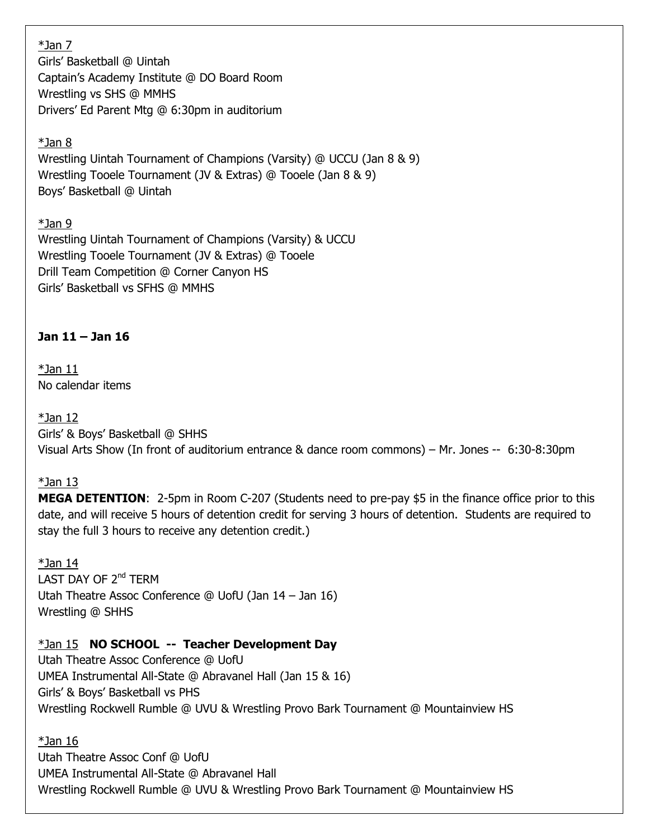### \*Jan 7

Girls' Basketball @ Uintah Captain's Academy Institute @ DO Board Room Wrestling vs SHS @ MMHS Drivers' Ed Parent Mtg @ 6:30pm in auditorium

## $*$ Jan 8

Wrestling Uintah Tournament of Champions (Varsity) @ UCCU (Jan 8 & 9) Wrestling Tooele Tournament (JV & Extras) @ Tooele (Jan 8 & 9) Boys' Basketball @ Uintah

\*Jan 9 Wrestling Uintah Tournament of Champions (Varsity) & UCCU Wrestling Tooele Tournament (JV & Extras) @ Tooele Drill Team Competition @ Corner Canyon HS Girls' Basketball vs SFHS @ MMHS

### **Jan 11 – Jan 16**

 $*$ Jan 11 No calendar items

 $*$ Jan 12 Girls' & Boys' Basketball @ SHHS Visual Arts Show (In front of auditorium entrance & dance room commons) – Mr. Jones -- 6:30-8:30pm

### $*$ Jan 13

**MEGA DETENTION**: 2-5pm in Room C-207 (Students need to pre-pay \$5 in the finance office prior to this date, and will receive 5 hours of detention credit for serving 3 hours of detention. Students are required to stay the full 3 hours to receive any detention credit.)

 $*$ Jan 14 LAST DAY OF 2<sup>nd</sup> TFRM Utah Theatre Assoc Conference @ UofU (Jan 14 – Jan 16) Wrestling @ SHHS

### \*Jan 15 **NO SCHOOL -- Teacher Development Day**

Utah Theatre Assoc Conference @ UofU UMEA Instrumental All-State @ Abravanel Hall (Jan 15 & 16) Girls' & Boys' Basketball vs PHS Wrestling Rockwell Rumble @ UVU & Wrestling Provo Bark Tournament @ Mountainview HS

 $*$ Jan 16

Utah Theatre Assoc Conf @ UofU UMEA Instrumental All-State @ Abravanel Hall Wrestling Rockwell Rumble @ UVU & Wrestling Provo Bark Tournament @ Mountainview HS